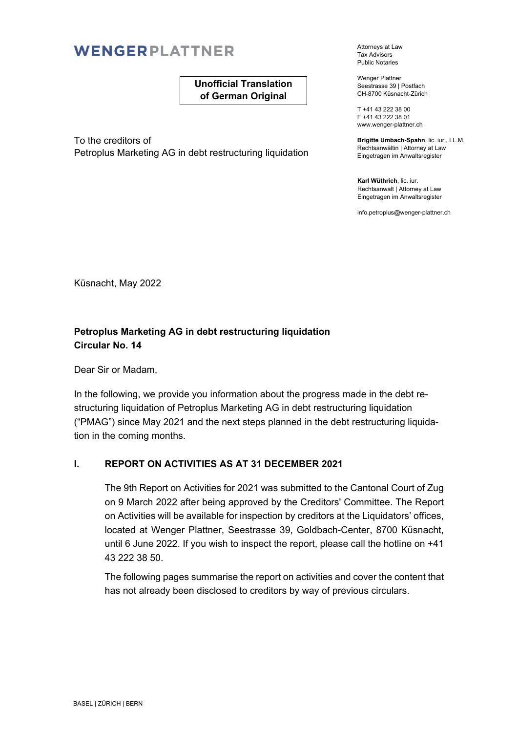# WENGERPLATTNER

### **Unofficial Translation of German Original**

To the creditors of Petroplus Marketing AG in debt restructuring liquidation Attorneys at Law Tax Advisors Public Notaries

Wenger Plattner Seestrasse 39 | Postfach CH-8700 Küsnacht-Zürich

T +41 43 222 38 00 F +41 43 222 38 01 www.wenger-plattner.ch

**Brigitte Umbach-Spahn**, lic. iur., LL.M. Rechtsanwältin | Attorney at Law Eingetragen im Anwaltsregister

**Karl Wüthrich**, lic. iur. Rechtsanwalt | Attorney at Law Eingetragen im Anwaltsregister

info.petroplus@wenger-plattner.ch

Küsnacht, May 2022

### **Petroplus Marketing AG in debt restructuring liquidation Circular No. 14**

Dear Sir or Madam,

In the following, we provide you information about the progress made in the debt restructuring liquidation of Petroplus Marketing AG in debt restructuring liquidation ("PMAG") since May 2021 and the next steps planned in the debt restructuring liquidation in the coming months.

### **I. REPORT ON ACTIVITIES AS AT 31 DECEMBER 2021**

The 9th Report on Activities for 2021 was submitted to the Cantonal Court of Zug on 9 March 2022 after being approved by the Creditors' Committee. The Report on Activities will be available for inspection by creditors at the Liquidators' offices, located at Wenger Plattner, Seestrasse 39, Goldbach-Center, 8700 Küsnacht, until 6 June 2022. If you wish to inspect the report, please call the hotline on +41 43 222 38 50.

The following pages summarise the report on activities and cover the content that has not already been disclosed to creditors by way of previous circulars.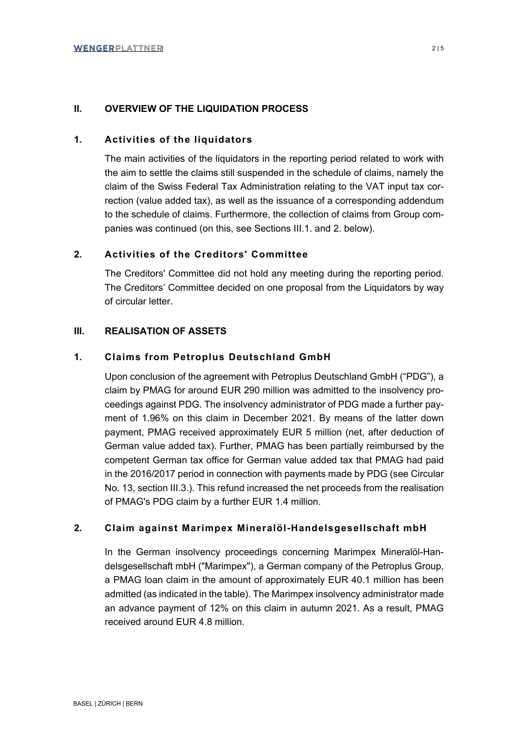### **II. OVERVIEW OF THE LIQUIDATION PROCESS**

### **1. Activities of the liquidators**

The main activities of the liquidators in the reporting period related to work with the aim to settle the claims still suspended in the schedule of claims, namely the claim of the Swiss Federal Tax Administration relating to the VAT input tax correction (value added tax), as well as the issuance of a corresponding addendum to the schedule of claims. Furthermore, the collection of claims from Group companies was continued (on this, see Sections III.1. and 2. below).

### **2. Activities of the Creditors' Committee**

The Creditors' Committee did not hold any meeting during the reporting period. The Creditors' Committee decided on one proposal from the Liquidators by way of circular letter.

### **III. REALISATION OF ASSETS**

### **1. Claims from Petroplus Deutschland GmbH**

Upon conclusion of the agreement with Petroplus Deutschland GmbH ("PDG"), a claim by PMAG for around EUR 290 million was admitted to the insolvency proceedings against PDG. The insolvency administrator of PDG made a further payment of 1.96% on this claim in December 2021. By means of the latter down payment, PMAG received approximately EUR 5 million (net, after deduction of German value added tax). Further, PMAG has been partially reimbursed by the competent German tax office for German value added tax that PMAG had paid in the 2016/2017 period in connection with payments made by PDG (see Circular No. 13, section III.3.). This refund increased the net proceeds from the realisation of PMAG's PDG claim by a further EUR 1.4 million.

### **2. Claim against Marimpex Mineralöl-Handelsgesellschaft mbH**

In the German insolvency proceedings concerning Marimpex Mineralöl-Handelsgesellschaft mbH ("Marimpex"), a German company of the Petroplus Group, a PMAG loan claim in the amount of approximately EUR 40.1 million has been admitted (as indicated in the table). The Marimpex insolvency administrator made an advance payment of 12% on this claim in autumn 2021. As a result, PMAG received around EUR 4.8 million.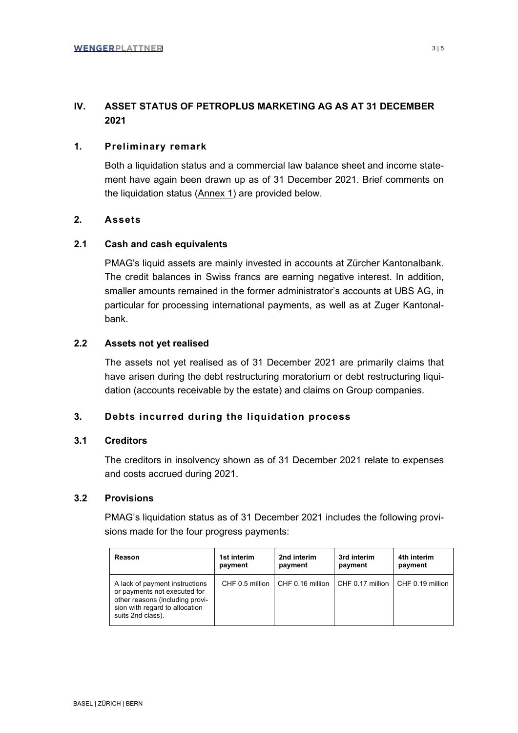### **IV. ASSET STATUS OF PETROPLUS MARKETING AG AS AT 31 DECEMBER 2021**

### **1. Preliminary remark**

Both a liquidation status and a commercial law balance sheet and income statement have again been drawn up as of 31 December 2021. Brief comments on the liquidation status (Annex 1) are provided below.

### **2. Assets**

### **2.1 Cash and cash equivalents**

PMAG's liquid assets are mainly invested in accounts at Zürcher Kantonalbank. The credit balances in Swiss francs are earning negative interest. In addition, smaller amounts remained in the former administrator's accounts at UBS AG, in particular for processing international payments, as well as at Zuger Kantonalbank.

### **2.2 Assets not yet realised**

The assets not yet realised as of 31 December 2021 are primarily claims that have arisen during the debt restructuring moratorium or debt restructuring liquidation (accounts receivable by the estate) and claims on Group companies.

### **3. Debts incurred during the liquidation process**

### **3.1 Creditors**

The creditors in insolvency shown as of 31 December 2021 relate to expenses and costs accrued during 2021.

### **3.2 Provisions**

PMAG's liquidation status as of 31 December 2021 includes the following provisions made for the four progress payments:

| Reason                                                                                                                                                   | 1st interim     | 2nd interim      | 3rd interim      | 4th interim      |
|----------------------------------------------------------------------------------------------------------------------------------------------------------|-----------------|------------------|------------------|------------------|
|                                                                                                                                                          | payment         | payment          | payment          | payment          |
| A lack of payment instructions<br>or payments not executed for<br>other reasons (including provi-<br>sion with regard to allocation<br>suits 2nd class). | CHF 0.5 million | CHF 0.16 million | CHF 0.17 million | CHF 0.19 million |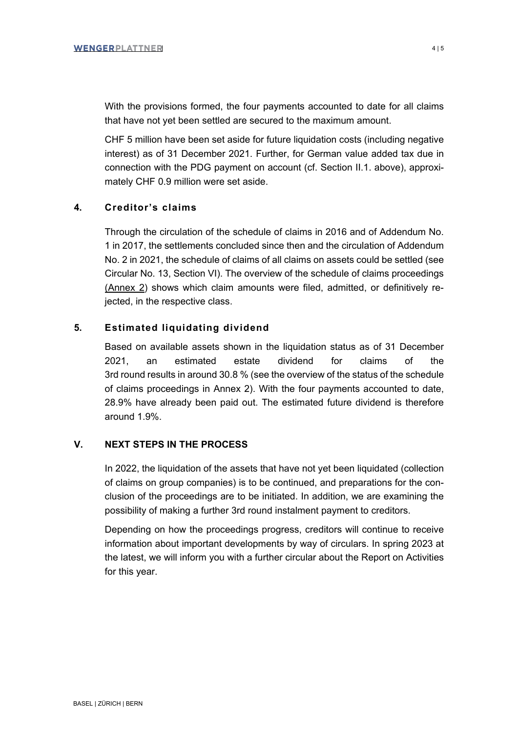With the provisions formed, the four payments accounted to date for all claims that have not yet been settled are secured to the maximum amount.

CHF 5 million have been set aside for future liquidation costs (including negative interest) as of 31 December 2021. Further, for German value added tax due in connection with the PDG payment on account (cf. Section II.1. above), approximately CHF 0.9 million were set aside.

### **4. Creditor's claims**

Through the circulation of the schedule of claims in 2016 and of Addendum No. 1 in 2017, the settlements concluded since then and the circulation of Addendum No. 2 in 2021, the schedule of claims of all claims on assets could be settled (see Circular No. 13, Section VI). The overview of the schedule of claims proceedings (Annex 2) shows which claim amounts were filed, admitted, or definitively rejected, in the respective class.

### **5. Estimated liquidating dividend**

Based on available assets shown in the liquidation status as of 31 December 2021, an estimated estate dividend for claims of the 3rd round results in around 30.8 % (see the overview of the status of the schedule of claims proceedings in Annex 2). With the four payments accounted to date, 28.9% have already been paid out. The estimated future dividend is therefore around 1.9%.

### **V. NEXT STEPS IN THE PROCESS**

In 2022, the liquidation of the assets that have not yet been liquidated (collection of claims on group companies) is to be continued, and preparations for the conclusion of the proceedings are to be initiated. In addition, we are examining the possibility of making a further 3rd round instalment payment to creditors.

Depending on how the proceedings progress, creditors will continue to receive information about important developments by way of circulars. In spring 2023 at the latest, we will inform you with a further circular about the Report on Activities for this year.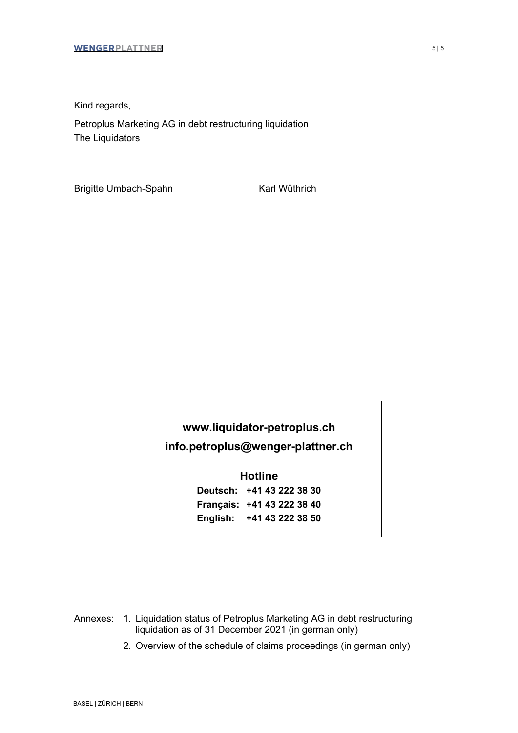Kind regards,

Petroplus Marketing AG in debt restructuring liquidation The Liquidators

Brigitte Umbach-Spahn Karl Wüthrich

# **www.liquidator-petroplus.ch info.petroplus@wenger-plattner.ch**

**Hotline Deutsch: +41 43 222 38 30 Français: +41 43 222 38 40 English: +41 43 222 38 50** 

Annexes: 1. Liquidation status of Petroplus Marketing AG in debt restructuring liquidation as of 31 December 2021 (in german only)

2. Overview of the schedule of claims proceedings (in german only)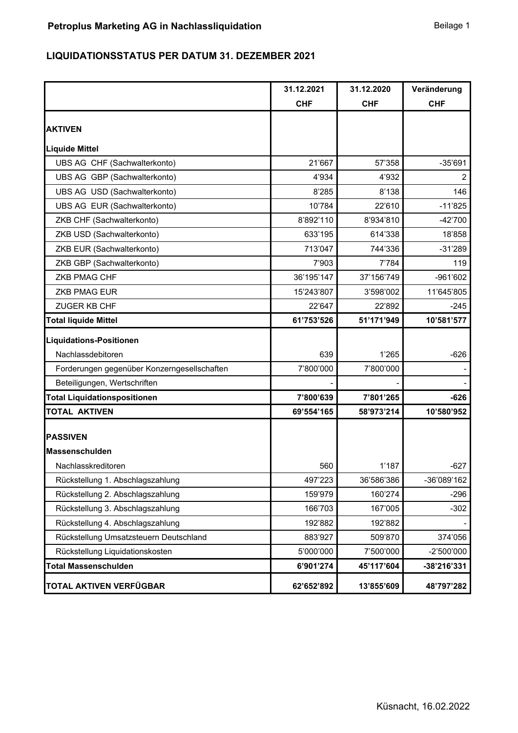### **LIQUIDATIONSSTATUS PER DATUM 31. DEZEMBER 2021**

|                                             | 31.12.2021 | 31.12.2020 | Veränderung    |
|---------------------------------------------|------------|------------|----------------|
|                                             | <b>CHF</b> | <b>CHF</b> | <b>CHF</b>     |
| <b>AKTIVEN</b>                              |            |            |                |
| <b>Liquide Mittel</b>                       |            |            |                |
| UBS AG CHF (Sachwalterkonto)                | 21'667     | 57'358     | $-35'691$      |
| UBS AG GBP (Sachwalterkonto)                | 4'934      | 4'932      | $\overline{2}$ |
| UBS AG USD (Sachwalterkonto)                | 8'285      | 8'138      | 146            |
| UBS AG EUR (Sachwalterkonto)                | 10'784     | 22'610     | $-11'825$      |
| ZKB CHF (Sachwalterkonto)                   | 8'892'110  | 8'934'810  | $-42'700$      |
| ZKB USD (Sachwalterkonto)                   | 633'195    | 614'338    | 18'858         |
| ZKB EUR (Sachwalterkonto)                   | 713'047    | 744'336    | $-31'289$      |
| ZKB GBP (Sachwalterkonto)                   | 7'903      | 7'784      | 119            |
| ZKB PMAG CHF                                | 36'195'147 | 37'156'749 | -961'602       |
| <b>ZKB PMAG EUR</b>                         | 15'243'807 | 3'598'002  | 11'645'805     |
| ZUGER KB CHF                                | 22'647     | 22'892     | $-245$         |
| <b>Total liquide Mittel</b>                 | 61'753'526 | 51'171'949 | 10'581'577     |
| <b>Liquidations-Positionen</b>              |            |            |                |
| Nachlassdebitoren                           | 639        | 1'265      | $-626$         |
| Forderungen gegenüber Konzerngesellschaften | 7'800'000  | 7'800'000  |                |
| Beteiligungen, Wertschriften                |            |            |                |
| <b>Total Liquidationspositionen</b>         | 7'800'639  | 7'801'265  | $-626$         |
| <b>TOTAL AKTIVEN</b>                        | 69'554'165 | 58'973'214 | 10'580'952     |
|                                             |            |            |                |
| <b>PASSIVEN</b>                             |            |            |                |
| Massenschulden                              |            |            |                |
| Nachlasskreditoren                          | 560        | 1'187      | $-627$         |
| Rückstellung 1. Abschlagszahlung            | 497'223    | 36'586'386 | -36'089'162    |
| Rückstellung 2. Abschlagszahlung            | 159'979    | 160'274    | -296           |
| Rückstellung 3. Abschlagszahlung            | 166'703    | 167'005    | $-302$         |
| Rückstellung 4. Abschlagszahlung            | 192'882    | 192'882    |                |
| Rückstellung Umsatzsteuern Deutschland      | 883'927    | 509'870    | 374'056        |
| Rückstellung Liquidationskosten             | 5'000'000  | 7'500'000  | -2'500'000     |
| <b>Total Massenschulden</b>                 | 6'901'274  | 45'117'604 | -38'216'331    |
| TOTAL AKTIVEN VERFÜGBAR                     | 62'652'892 | 13'855'609 | 48'797'282     |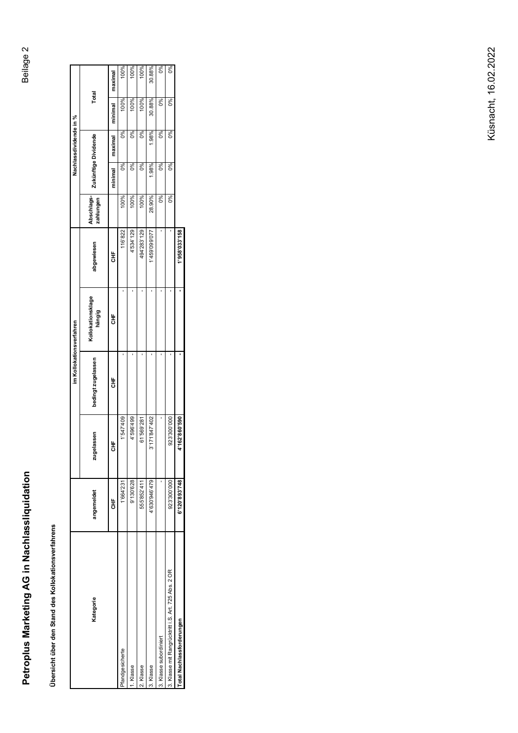# **Petroplus Marketing AG in Nachlassliquidation** Beilage 2 Petroplus Marketing AG in Nachlassliquidation

Übersicht über den Stand des Kollokationsverfahrens **Übersicht über den Stand des Kollokationsverfahrens**

|                                                     |               |               | im Kollokationsverfahren |                             |               |                         |                      | Nachlassdividende in % |         |         |
|-----------------------------------------------------|---------------|---------------|--------------------------|-----------------------------|---------------|-------------------------|----------------------|------------------------|---------|---------|
| Kategorie                                           | angemeldet    | jelassen<br>ă | bedingt zugelassen       | Kollokationsklage<br>hängig | abgewiesen    | Abschlags-<br>zahlungen | Zukünftige Dividende |                        | Total   |         |
|                                                     | 놓             | ้ธั           | 놓                        | ま<br>舌                      | ŧ             |                         | minimal              | maximal                | minimal | maximal |
| fandgesicherte                                      | 1'664'23      | 1'547'409     |                          |                             | 116'822       | 100%                    | $0\%$                | 0%                     | 100%    | 100%    |
| . Klasse                                            | 9'130'628     | 4'596'499     |                          |                             | 4'534'129     | 100%                    | 0%                   | 0%                     | 100%    | 100%    |
| 2. Klasse                                           | 555'852'41    | 61'569'281    |                          |                             | 494'283'129   | 100%                    | 0%                   | 0%                     | 100%    | 100%    |
| 3. Klasse                                           | 4'630'946'479 | 3'171'847'402 |                          |                             | 1'459'099'077 | 28.90%                  | 1.98%                | 1.98%                  | 30.88%  | 30.88%  |
| 3. Klasse subordiniert                              |               |               |                          |                             |               | 0%                      | 0%                   | 0%                     | 0%      | 0%      |
| 3. Klasse mit Rangrücktritt i.S. Art. 725 Abs. 2 OR | 923'300'000   | 923'300'000   |                          |                             |               | 0%                      | 0%                   | 0%                     | 0%      | 0%      |
| Total Nachlassforderungen                           | 6'120'893'748 | 4'162'860'590 |                          |                             | 1'958'033'158 |                         |                      |                        |         |         |